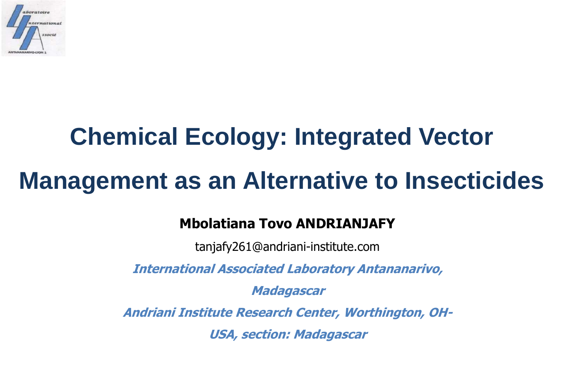

# **Chemical Ecology: Integrated Vector Management as an Alternative to Insecticides**

#### **Mbolatiana Tovo ANDRIANJAFY**

tanjafy261@andriani-institute.com

**International Associated Laboratory Antananarivo,** 

**Madagascar**

**Andriani Institute Research Center, Worthington, OH-**

**USA, section: Madagascar**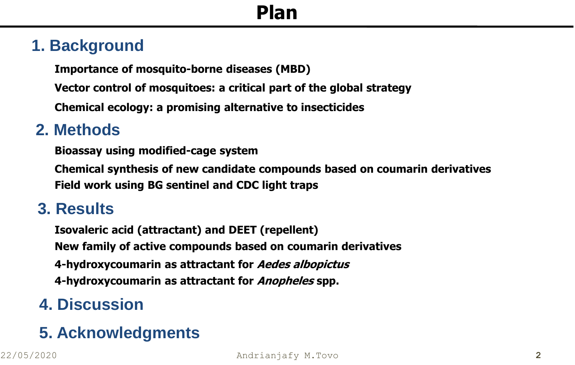#### **1. Background**

**Importance of mosquito-borne diseases (MBD)**

**Vector control of mosquitoes: a critical part of the global strategy**

**Chemical ecology: a promising alternative to insecticides**

#### **2. Methods**

**Bioassay using modified-cage system**

**Chemical synthesis of new candidate compounds based on coumarin derivatives Field work using BG sentinel and CDC light traps** 

#### **3. Results**

**Isovaleric acid (attractant) and DEET (repellent) New family of active compounds based on coumarin derivatives 4-hydroxycoumarin as attractant for Aedes albopictus 4-hydroxycoumarin as attractant for Anopheles spp.**

#### **4. Discussion**

#### **5. Acknowledgments**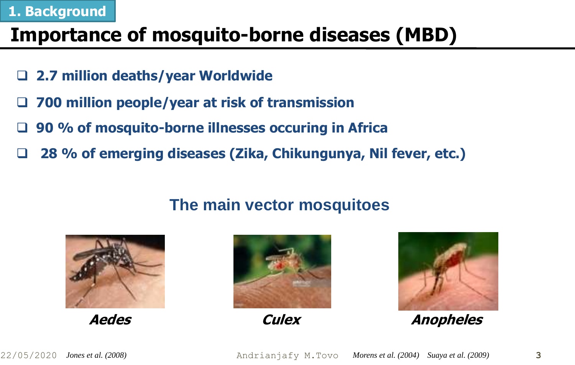#### **1. Background**

## **Importance of mosquito-borne diseases (MBD)**

- **2.7 million deaths/year Worldwide**
- **700 million people/year at risk of transmission**
- **90 % of mosquito-borne illnesses occuring in Africa**
- **28 % of emerging diseases (Zika, Chikungunya, Nil fever, etc.)**

#### **The main vector mosquitoes**







**Aedes Culex Anopheles**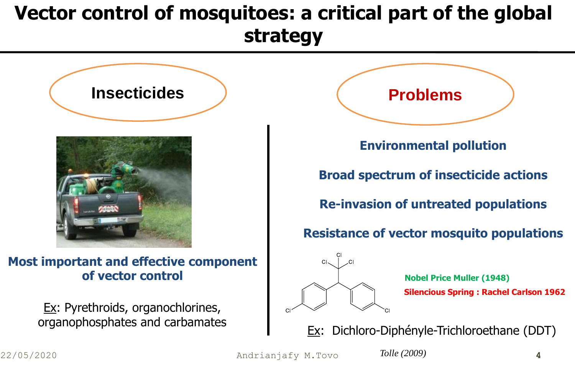# **Vector control of mosquitoes: a critical part of the global strategy**



**Most important and effective component of vector control**

> **Ex: Pyrethroids, organochlorines,** organophosphates and carbamates



**Environmental pollution**

**Broad spectrum of insecticide actions**

**Re-invasion of untreated populations**

**Resistance of vector mosquito populations**



**Nobel Price Muller (1948) Silencious Spring : Rachel Carlson 1962**

Ex: Dichloro-Diphényle-Trichloroethane (DDT)

22/05/2020 Andrianjafy M.Tovo *Tolle (2009)* **4**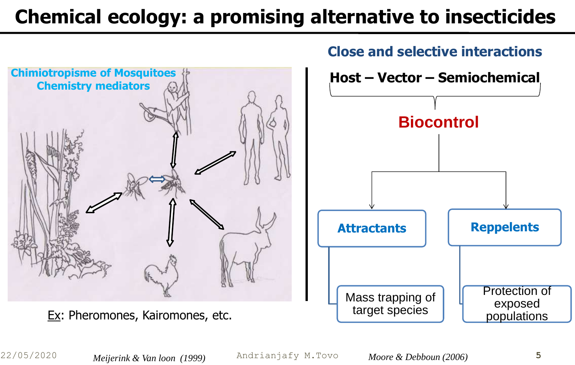# **Chemical ecology: a promising alternative to insecticides**





*Meijerink & Van loon (1999)*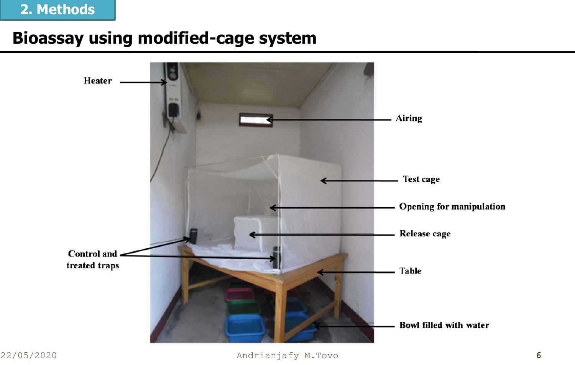#### **2. Methods**

### **Bioassay using modified-cage system**

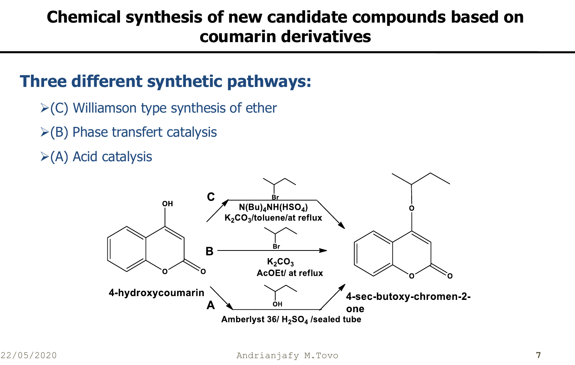## **Chemical synthesis of new candidate compounds based on coumarin derivatives**

#### **Three different synthetic pathways:**

- $\triangleright$ (C) Williamson type synthesis of ether
- $\triangleright$ (B) Phase transfert catalysis
- $\triangleright$ (A) Acid catalysis

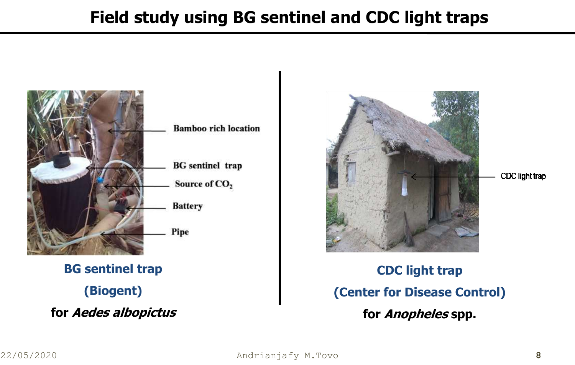## **Field study using BG sentinel and CDC light traps**



**BG sentinel trap (Biogent) for Aedes albopictus**



CDC light trap

**CDC light trap (Center for Disease Control) for Anopheles spp.**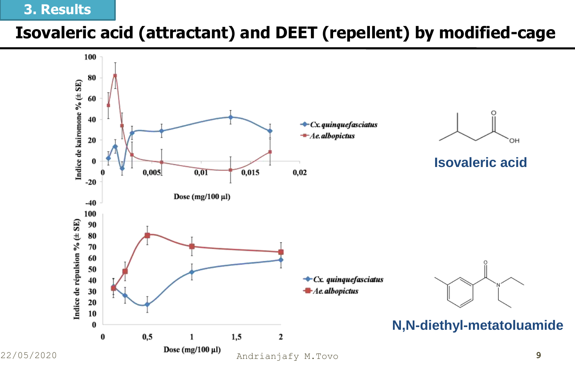#### **3. Results**

## **Isovaleric acid (attractant) and DEET (repellent) by modified-cage**

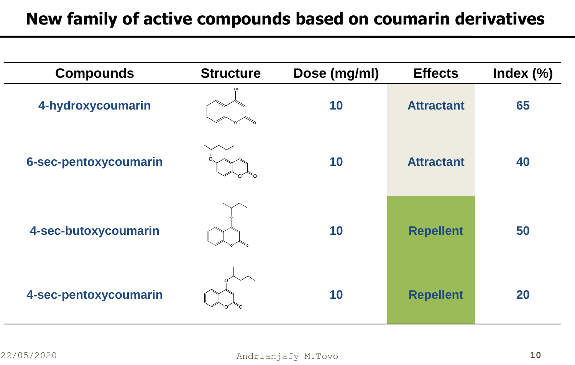## **New family of active compounds based on coumarin derivatives**

| <b>Compounds</b>      | <b>Structure</b> | Dose (mg/ml) | <b>Effects</b>    | Index $(\%)$ |
|-----------------------|------------------|--------------|-------------------|--------------|
| 4-hydroxycoumarin     | OH               | 10           | <b>Attractant</b> | 65           |
| 6-sec-pentoxycoumarin |                  | 10           | <b>Attractant</b> | 40           |
| 4-sec-butoxycoumarin  |                  | 10           | <b>Repellent</b>  | 50           |
| 4-sec-pentoxycoumarin |                  | 10           | <b>Repellent</b>  | 20           |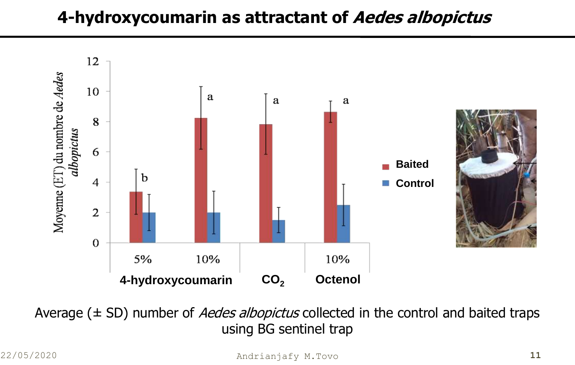## **4-hydroxycoumarin as attractant of Aedes albopictus**



Average ( $\pm$  SD) number of *Aedes albopictus* collected in the control and baited traps using BG sentinel trap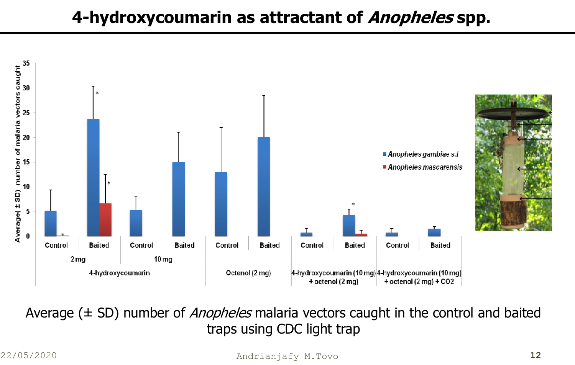## **4-hydroxycoumarin as attractant of Anopheles spp.**



Average ( $\pm$  SD) number of *Anopheles* malaria vectors caught in the control and baited traps using CDC light trap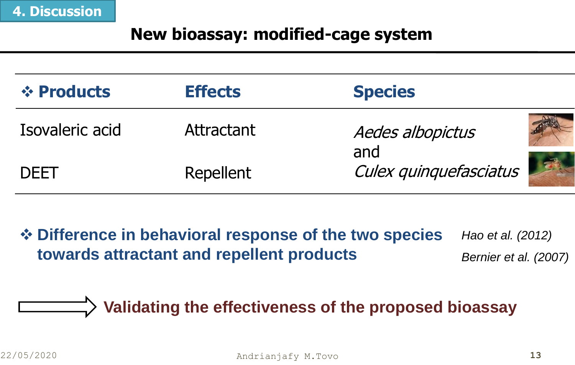#### **New bioassay: modified-cage system**

| <b>☆ Products</b> | <b>Effects</b> | <b>Species</b>          |
|-------------------|----------------|-------------------------|
| Isovaleric acid   | Attractant     | Aedes albopictus<br>and |
| <b>DEET</b>       | Repellent      | Culex quinquefasciatus  |

 **Difference in behavioral response of the two species towards attractant and repellent products** *Hao et al. (2012) Bernier et al. (2007)*

## **Validating the effectiveness of the proposed bioassay**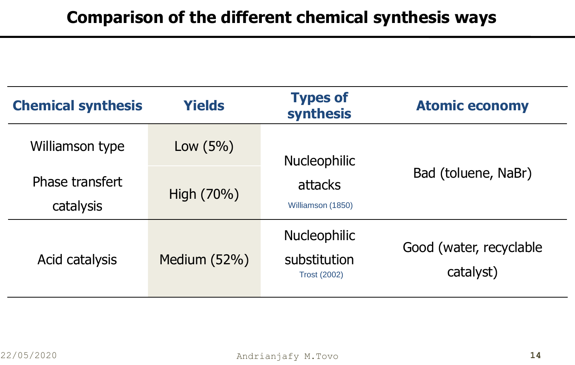| <b>Chemical synthesis</b>    | <b>Yields</b> | <b>Types of</b><br>synthesis                               | <b>Atomic economy</b>                |  |
|------------------------------|---------------|------------------------------------------------------------|--------------------------------------|--|
| Williamson type              | Low $(5%)$    | <b>Nucleophilic</b>                                        | Bad (toluene, NaBr)                  |  |
| Phase transfert<br>catalysis | High (70%)    | attacks<br>Williamson (1850)                               |                                      |  |
| Acid catalysis               | Medium (52%)  | <b>Nucleophilic</b><br>substitution<br><b>Trost (2002)</b> | Good (water, recyclable<br>catalyst) |  |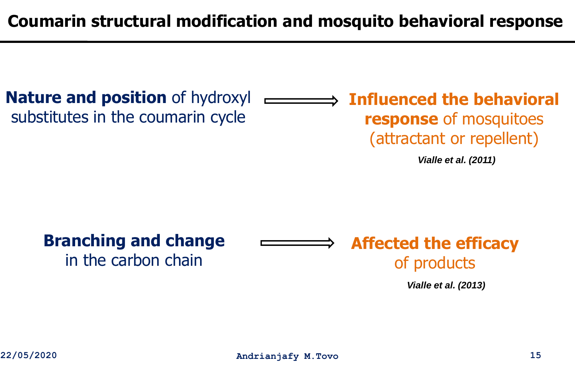**Coumarin structural modification and mosquito behavioral response**

**Nature and position** of hydroxyl substitutes in the coumarin cycle

**Influenced the behavioral response** of mosquitoes (attractant or repellent)

*Vialle et al. (2011)*

**Branching and change** 

in the carbon chain

**Affected the efficacy** of products

*Vialle et al. (2013)*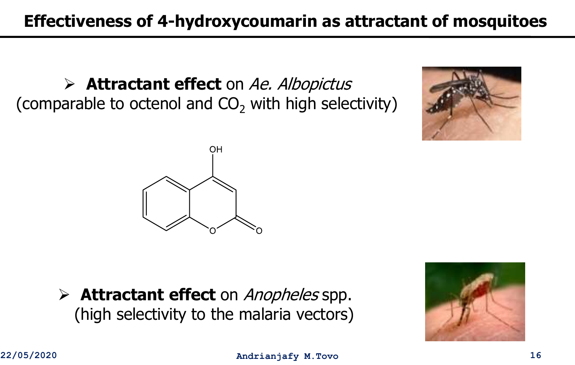**Attractant effect** on Ae. Albopictus (comparable to octenol and  $CO<sub>2</sub>$  with high selectivity)